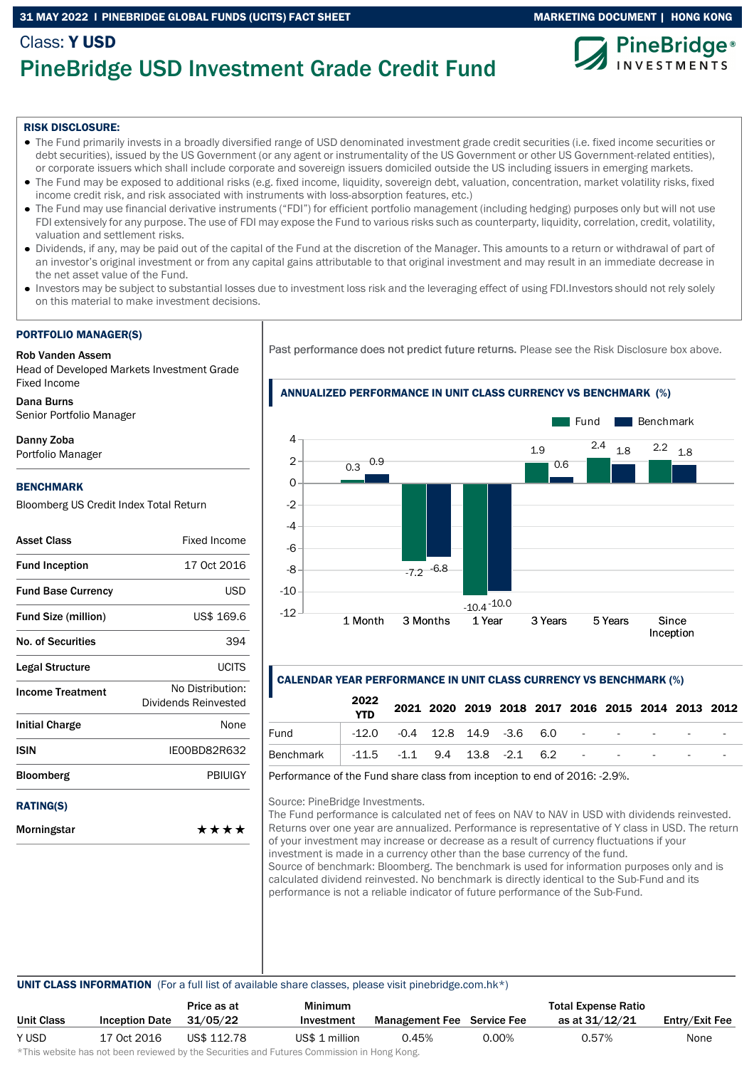## 31 MAY 2022 I PINEBRIDGE GLOBAL FUNDS (UCITS) FACT SHEET MARKETING DOCUMENT | HONG KONG

# Class: Y USD PineBridge USD Investment Grade Credit Fund





#### RISK DISCLOSURE:

- The Fund primarily invests in a broadly diversified range of USD denominated investment grade credit securities (i.e. fixed income securities or debt securities), issued by the US Government (or any agent or instrumentality of the US Government or other US Government-related entities), or corporate issuers which shall include corporate and sovereign issuers domiciled outside the US including issuers in emerging markets.
- The Fund may be exposed to additional risks (e.g. fixed income, liquidity, sovereign debt, valuation, concentration, market volatility risks, fixed income credit risk, and risk associated with instruments with loss-absorption features, etc.)
- The Fund may use financial derivative instruments ("FDI") for efficient portfolio management (including hedging) purposes only but will not use FDI extensively for any purpose. The use of FDI may expose the Fund to various risks such as counterparty, liquidity, correlation, credit, volatility, valuation and settlement risks.
- Dividends, if any, may be paid out of the capital of the Fund at the discretion of the Manager. This amounts to a return or withdrawal of part of an investor's original investment or from any capital gains attributable to that original investment and may result in an immediate decrease in the net asset value of the Fund.
- Investors may be subject to substantial losses due to investment loss risk and the leveraging effect of using FDI.Investors should not rely solely on this material to make investment decisions.

#### PORTFOLIO MANAGER(S)

#### Rob Vanden Assem

Head of Developed Markets Investment Grade Fixed Income

Dana Burns

Senior Portfolio Manager

#### Danny Zoba

Portfolio Manager

#### BENCHMARK

Bloomberg US Credit Index Total Return

| <b>Asset Class</b>         | <b>Fixed Income</b>                      |
|----------------------------|------------------------------------------|
| <b>Fund Inception</b>      | 17 Oct 2016                              |
| <b>Fund Base Currency</b>  | <b>USD</b>                               |
| <b>Fund Size (million)</b> | US\$ 169.6                               |
| <b>No. of Securities</b>   | 394                                      |
| Legal Structure            | UCITS                                    |
| <b>Income Treatment</b>    | No Distribution:<br>Dividends Reinvested |
| <b>Initial Charge</b>      | None                                     |
| ISIN                       | IE00BD82R632                             |
| <b>Bloomberg</b>           | <b>PBIUIGY</b>                           |
| <b>RATING(S)</b>           |                                          |
| <b>Mausimetatau</b>        | — — — —                                  |

Morningstar \*\*\*\* Past performance does not predict future returns. Please see the Risk Disclosure box above.

### ANNUALIZED PERFORMANCE IN UNIT CLASS CURRENCY VS BENCHMARK (%)



### CALENDAR YEAR PERFORMANCE IN UNIT CLASS CURRENCY VS BENCHMARK (%)

|                                                    | 2022<br><b>YTD</b>                                |  |  |  |  | 2021 2020 2019 2018 2017 2016 2015 2014 2013 2012 |
|----------------------------------------------------|---------------------------------------------------|--|--|--|--|---------------------------------------------------|
| Fund                                               | $-12.0$ $-0.4$ $12.8$ $14.9$ $-3.6$ $6.0$ $    -$ |  |  |  |  |                                                   |
| Benchmark -11.5 -1.1 9.4 13.8 -2.1 6.2 - - - - - - |                                                   |  |  |  |  |                                                   |

Performance of the Fund share class from inception to end of 2016: -2.9%.

Source: PineBridge Investments.

The Fund performance is calculated net of fees on NAV to NAV in USD with dividends reinvested. Returns over one year are annualized. Performance is representative of Y class in USD. The return of your investment may increase or decrease as a result of currency fluctuations if your investment is made in a currency other than the base currency of the fund. Source of benchmark: Bloomberg. The benchmark is used for information purposes only and is calculated dividend reinvested. No benchmark is directly identical to the Sub-Fund and its performance is not a reliable indicator of future performance of the Sub-Fund.

#### UNIT CLASS INFORMATION (For a full list of available share classes, please visit pinebridge.com.hk\*)

|                   |                       | Price as at | Minimum        | <b>Total Expense Ratio</b>        |       |                |                |
|-------------------|-----------------------|-------------|----------------|-----------------------------------|-------|----------------|----------------|
| <b>Unit Class</b> | <b>Inception Date</b> | 31/05/22    | Investment     | <b>Management Fee</b> Service Fee |       | as at 31/12/21 | Entry/Exit Fee |
| Y USD             | 17 Oct 2016           | US\$ 112.78 | US\$ 1 million | 0.45%                             | 0.00% | 0.57%          | None           |

\*This website has not been reviewed by the Securities and Futures Commission in Hong Kong.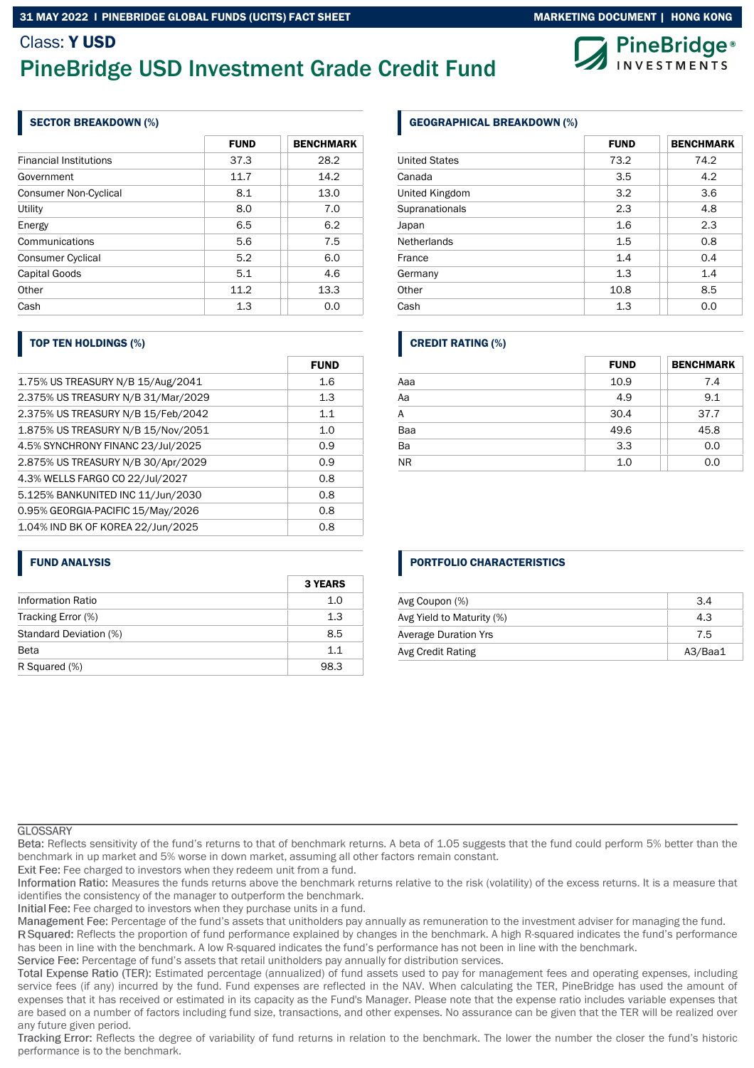## 31 MAY 2022 I PINEBRIDGE GLOBAL FUNDS (UCITS) FACT SHEET MARKETING MARKETING DOCUMENT | HONG KONG

# Class: Y USD PineBridge USD Investment Grade Credit Fund

## SECTOR BREAKDOWN (%)

|                               | <b>FUND</b> | <b>BENCHMARK</b> |
|-------------------------------|-------------|------------------|
| <b>Financial Institutions</b> | 37.3        | 28.2             |
| Government                    | 11.7        | 14.2             |
| <b>Consumer Non-Cyclical</b>  | 8.1         | 13.0             |
| Utility                       | 8.0         | 7.0              |
| Energy                        | 6.5         | 6.2              |
| Communications                | 5.6         | 7.5              |
| <b>Consumer Cyclical</b>      | 5.2         | 6.0              |
| Capital Goods                 | 5.1         | 4.6              |
| Other                         | 11.2        | 13.3             |
| Cash                          | 1.3         | 0.0              |

## TOP TEN HOLDINGS (%)

|                                    | <b>FUND</b> |
|------------------------------------|-------------|
| 1.75% US TREASURY N/B 15/Aug/2041  | 1.6         |
| 2.375% US TREASURY N/B 31/Mar/2029 | 1.3         |
| 2.375% US TREASURY N/B 15/Feb/2042 | 1.1         |
| 1.875% US TREASURY N/B 15/Nov/2051 | 1.0         |
| 4.5% SYNCHRONY FINANC 23/Jul/2025  | 0.9         |
| 2.875% US TREASURY N/B 30/Apr/2029 | 0.9         |
| 4.3% WELLS FARGO CO 22/Jul/2027    | 0.8         |
| 5.125% BANKUNITED INC 11/Jun/2030  | 0.8         |
| 0.95% GEORGIA-PACIFIC 15/May/2026  | 0.8         |
| 1.04% IND BK OF KOREA 22/Jun/2025  | 0.8         |

## FUND ANALYSIS

|                        | <b>3 YEARS</b> |
|------------------------|----------------|
| Information Ratio      | 1.0            |
| Tracking Error (%)     | 1.3            |
| Standard Deviation (%) | 8.5            |
| <b>Beta</b>            | 11             |
| R Squared (%)          | 98.3           |

## GEOGRAPHICAL BREAKDOWN (%)

|                      | <b>FUND</b> | <b>BENCHMARK</b> |
|----------------------|-------------|------------------|
| <b>United States</b> | 73.2        | 74.2             |
| Canada               | 3.5         | 4.2              |
| United Kingdom       | 3.2         | 3.6              |
| Supranationals       | 2.3         | 4.8              |
| Japan                | 1.6         | 2.3              |
| <b>Netherlands</b>   | 1.5         | 0.8              |
| France               | 1.4         | 0.4              |
| Germany              | 1.3         | 1.4              |
| Other                | 10.8        | 8.5              |
| Cash                 | 1.3         | 0.0              |

## CREDIT RATING (%)

|                 | <b>FUND</b> | <b>BENCHMARK</b> |
|-----------------|-------------|------------------|
| Aaa             | 10.9        | 7.4              |
| $\overline{Aa}$ | 4.9         | 9.1              |
| A               | 30.4        | 37.7             |
| Baa             | 49.6        | 45.8             |
| $\overline{Ba}$ | 3.3         | 0.0              |
| N <sub>R</sub>  | 1.0         | 0.0              |

## PORTFOLIO CHARACTERISTICS

| 3.4     |
|---------|
| 4.3     |
| 7.5     |
| A3/Baa1 |
|         |

### **GLOSSARY**

Reflects sensitivity of the fund's returns to that of benchmark returns. A beta of 1.05 suggests that the fund could perform 5% better than the benchmark in up market and 5% worse in down market, assuming all other factors remain constant.

Exit Fee: Fee charged to investors when they redeem unit from a fund.

Information Ratio: Measures the funds returns above the benchmark returns relative to the risk (volatility) of the excess returns. It is a measure that identifies the consistency of the manager to outperform the benchmark.

Initial Fee: Fee charged to investors when they purchase units in a fund.

Management Fee: Percentage of the fund's assets that unitholders pay annually as remuneration to the investment adviser for managing the fund.

R Squared: Reflects the proportion of fund performance explained by changes in the benchmark. A high R-squared indicates the fund's performance has been in line with the benchmark. A low R-squared indicates the fund's performance has not been in line with the benchmark.

Service Fee: Percentage of fund's assets that retail unitholders pay annually for distribution services.

Total Expense Ratio (TER): Estimated percentage (annualized) of fund assets used to pay for management fees and operating expenses, including service fees (if any) incurred by the fund. Fund expenses are reflected in the NAV. When calculating the TER, PineBridge has used the amount of expenses that it has received or estimated in its capacity as the Fund's Manager. Please note that the expense ratio includes variable expenses that are based on a number of factors including fund size, transactions, and other expenses. No assurance can be given that the TER will be realized over any future given period.

Tracking Error: Reflects the degree of variability of fund returns in relation to the benchmark. The lower the number the closer the fund's historic performance is to the benchmark.